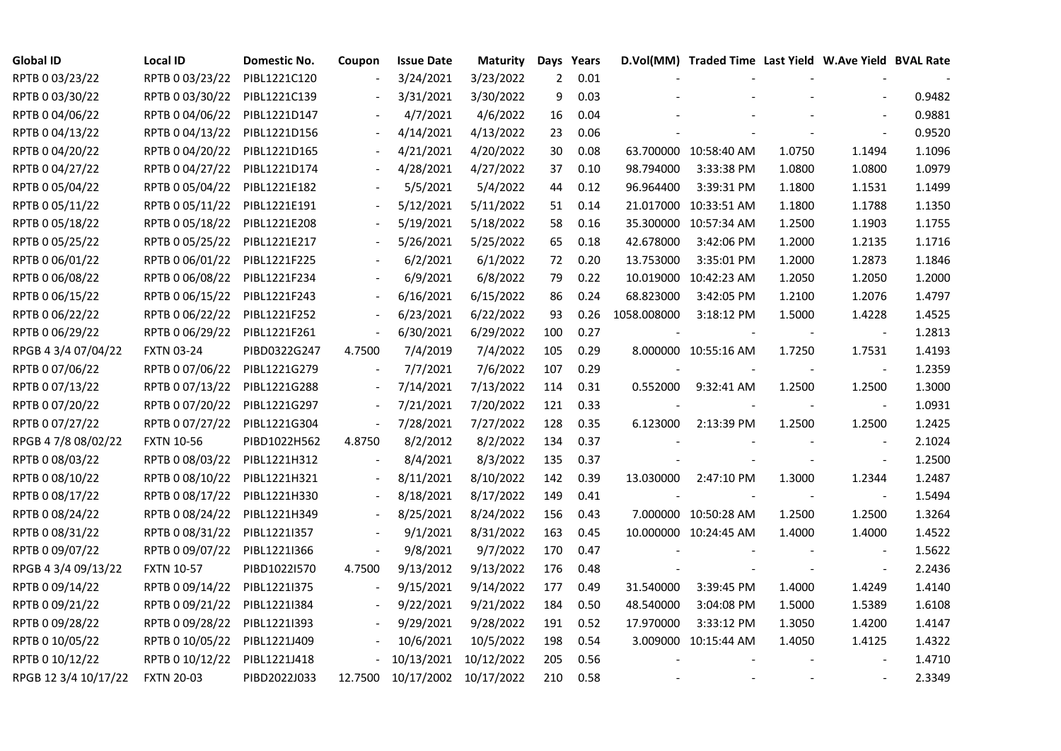| <b>Global ID</b>     | <b>Local ID</b>   | Domestic No. | Coupon                   | <b>Issue Date</b>     | <b>Maturity</b> |     | Days Years |             | D.Vol(MM) Traded Time Last Yield W.Ave Yield BVAL Rate |        |                          |        |
|----------------------|-------------------|--------------|--------------------------|-----------------------|-----------------|-----|------------|-------------|--------------------------------------------------------|--------|--------------------------|--------|
| RPTB 0 03/23/22      | RPTB 0 03/23/22   | PIBL1221C120 |                          | 3/24/2021             | 3/23/2022       | 2   | 0.01       |             |                                                        |        |                          |        |
| RPTB 0 03/30/22      | RPTB 0 03/30/22   | PIBL1221C139 |                          | 3/31/2021             | 3/30/2022       | 9   | 0.03       |             |                                                        |        |                          | 0.9482 |
| RPTB 0 04/06/22      | RPTB 0 04/06/22   | PIBL1221D147 |                          | 4/7/2021              | 4/6/2022        | 16  | 0.04       |             |                                                        |        |                          | 0.9881 |
| RPTB 0 04/13/22      | RPTB 0 04/13/22   | PIBL1221D156 | $\overline{\phantom{a}}$ | 4/14/2021             | 4/13/2022       | 23  | 0.06       |             |                                                        |        | $\sim$                   | 0.9520 |
| RPTB 0 04/20/22      | RPTB 0 04/20/22   | PIBL1221D165 | $\overline{\phantom{a}}$ | 4/21/2021             | 4/20/2022       | 30  | 0.08       |             | 63.700000 10:58:40 AM                                  | 1.0750 | 1.1494                   | 1.1096 |
| RPTB 0 04/27/22      | RPTB 0 04/27/22   | PIBL1221D174 |                          | 4/28/2021             | 4/27/2022       | 37  | 0.10       | 98.794000   | 3:33:38 PM                                             | 1.0800 | 1.0800                   | 1.0979 |
| RPTB 0 05/04/22      | RPTB 0 05/04/22   | PIBL1221E182 |                          | 5/5/2021              | 5/4/2022        | 44  | 0.12       | 96.964400   | 3:39:31 PM                                             | 1.1800 | 1.1531                   | 1.1499 |
| RPTB 0 05/11/22      | RPTB 0 05/11/22   | PIBL1221E191 |                          | 5/12/2021             | 5/11/2022       | 51  | 0.14       |             | 21.017000 10:33:51 AM                                  | 1.1800 | 1.1788                   | 1.1350 |
| RPTB 0 05/18/22      | RPTB 0 05/18/22   | PIBL1221E208 |                          | 5/19/2021             | 5/18/2022       | 58  | 0.16       |             | 35.300000 10:57:34 AM                                  | 1.2500 | 1.1903                   | 1.1755 |
| RPTB 0 05/25/22      | RPTB 0 05/25/22   | PIBL1221E217 |                          | 5/26/2021             | 5/25/2022       | 65  | 0.18       | 42.678000   | 3:42:06 PM                                             | 1.2000 | 1.2135                   | 1.1716 |
| RPTB 0 06/01/22      | RPTB 0 06/01/22   | PIBL1221F225 | $\overline{\phantom{a}}$ | 6/2/2021              | 6/1/2022        | 72  | 0.20       | 13.753000   | 3:35:01 PM                                             | 1.2000 | 1.2873                   | 1.1846 |
| RPTB 0 06/08/22      | RPTB 0 06/08/22   | PIBL1221F234 |                          | 6/9/2021              | 6/8/2022        | 79  | 0.22       |             | 10.019000 10:42:23 AM                                  | 1.2050 | 1.2050                   | 1.2000 |
| RPTB 0 06/15/22      | RPTB 0 06/15/22   | PIBL1221F243 | $\blacksquare$           | 6/16/2021             | 6/15/2022       | 86  | 0.24       | 68.823000   | 3:42:05 PM                                             | 1.2100 | 1.2076                   | 1.4797 |
| RPTB 0 06/22/22      | RPTB 0 06/22/22   | PIBL1221F252 |                          | 6/23/2021             | 6/22/2022       | 93  | 0.26       | 1058.008000 | 3:18:12 PM                                             | 1.5000 | 1.4228                   | 1.4525 |
| RPTB 0 06/29/22      | RPTB 0 06/29/22   | PIBL1221F261 | $\blacksquare$           | 6/30/2021             | 6/29/2022       | 100 | 0.27       |             |                                                        |        | $\blacksquare$           | 1.2813 |
| RPGB 4 3/4 07/04/22  | <b>FXTN 03-24</b> | PIBD0322G247 | 4.7500                   | 7/4/2019              | 7/4/2022        | 105 | 0.29       |             | 8.000000 10:55:16 AM                                   | 1.7250 | 1.7531                   | 1.4193 |
| RPTB 0 07/06/22      | RPTB 0 07/06/22   | PIBL1221G279 |                          | 7/7/2021              | 7/6/2022        | 107 | 0.29       |             |                                                        |        | $\overline{\phantom{a}}$ | 1.2359 |
| RPTB 0 07/13/22      | RPTB 0 07/13/22   | PIBL1221G288 | $\overline{\phantom{a}}$ | 7/14/2021             | 7/13/2022       | 114 | 0.31       | 0.552000    | 9:32:41 AM                                             | 1.2500 | 1.2500                   | 1.3000 |
| RPTB 0 07/20/22      | RPTB 0 07/20/22   | PIBL1221G297 | $\Box$                   | 7/21/2021             | 7/20/2022       | 121 | 0.33       |             |                                                        |        | $\blacksquare$           | 1.0931 |
| RPTB 0 07/27/22      | RPTB 0 07/27/22   | PIBL1221G304 | $\blacksquare$           | 7/28/2021             | 7/27/2022       | 128 | 0.35       | 6.123000    | 2:13:39 PM                                             | 1.2500 | 1.2500                   | 1.2425 |
| RPGB 4 7/8 08/02/22  | <b>FXTN 10-56</b> | PIBD1022H562 | 4.8750                   | 8/2/2012              | 8/2/2022        | 134 | 0.37       |             |                                                        |        | $\blacksquare$           | 2.1024 |
| RPTB 0 08/03/22      | RPTB 0 08/03/22   | PIBL1221H312 |                          | 8/4/2021              | 8/3/2022        | 135 | 0.37       |             |                                                        |        | $\blacksquare$           | 1.2500 |
| RPTB 0 08/10/22      | RPTB 0 08/10/22   | PIBL1221H321 |                          | 8/11/2021             | 8/10/2022       | 142 | 0.39       | 13.030000   | 2:47:10 PM                                             | 1.3000 | 1.2344                   | 1.2487 |
| RPTB 0 08/17/22      | RPTB 0 08/17/22   | PIBL1221H330 |                          | 8/18/2021             | 8/17/2022       | 149 | 0.41       |             |                                                        |        |                          | 1.5494 |
| RPTB 0 08/24/22      | RPTB 0 08/24/22   | PIBL1221H349 | $\blacksquare$           | 8/25/2021             | 8/24/2022       | 156 | 0.43       |             | 7.000000 10:50:28 AM                                   | 1.2500 | 1.2500                   | 1.3264 |
| RPTB 0 08/31/22      | RPTB 0 08/31/22   | PIBL1221I357 |                          | 9/1/2021              | 8/31/2022       | 163 | 0.45       |             | 10.000000 10:24:45 AM                                  | 1.4000 | 1.4000                   | 1.4522 |
| RPTB 0 09/07/22      | RPTB 0 09/07/22   | PIBL1221I366 | $\blacksquare$           | 9/8/2021              | 9/7/2022        | 170 | 0.47       |             |                                                        |        | $\sim$                   | 1.5622 |
| RPGB 4 3/4 09/13/22  | <b>FXTN 10-57</b> | PIBD1022I570 | 4.7500                   | 9/13/2012             | 9/13/2022       | 176 | 0.48       |             |                                                        |        | $\overline{\phantom{a}}$ | 2.2436 |
| RPTB 0 09/14/22      | RPTB 0 09/14/22   | PIBL1221I375 | $\blacksquare$           | 9/15/2021             | 9/14/2022       | 177 | 0.49       | 31.540000   | 3:39:45 PM                                             | 1.4000 | 1.4249                   | 1.4140 |
| RPTB 0 09/21/22      | RPTB 0 09/21/22   | PIBL1221I384 |                          | 9/22/2021             | 9/21/2022       | 184 | 0.50       | 48.540000   | 3:04:08 PM                                             | 1.5000 | 1.5389                   | 1.6108 |
| RPTB 0 09/28/22      | RPTB 0 09/28/22   | PIBL1221I393 |                          | 9/29/2021             | 9/28/2022       | 191 | 0.52       | 17.970000   | 3:33:12 PM                                             | 1.3050 | 1.4200                   | 1.4147 |
| RPTB 0 10/05/22      | RPTB 0 10/05/22   | PIBL1221J409 |                          | 10/6/2021             | 10/5/2022       | 198 | 0.54       |             | 3.009000 10:15:44 AM                                   | 1.4050 | 1.4125                   | 1.4322 |
| RPTB 0 10/12/22      | RPTB 0 10/12/22   | PIBL1221J418 |                          | 10/13/2021            | 10/12/2022      | 205 | 0.56       |             |                                                        |        |                          | 1.4710 |
| RPGB 12 3/4 10/17/22 | <b>FXTN 20-03</b> | PIBD2022J033 | 12.7500                  | 10/17/2002 10/17/2022 |                 | 210 | 0.58       |             |                                                        |        |                          | 2.3349 |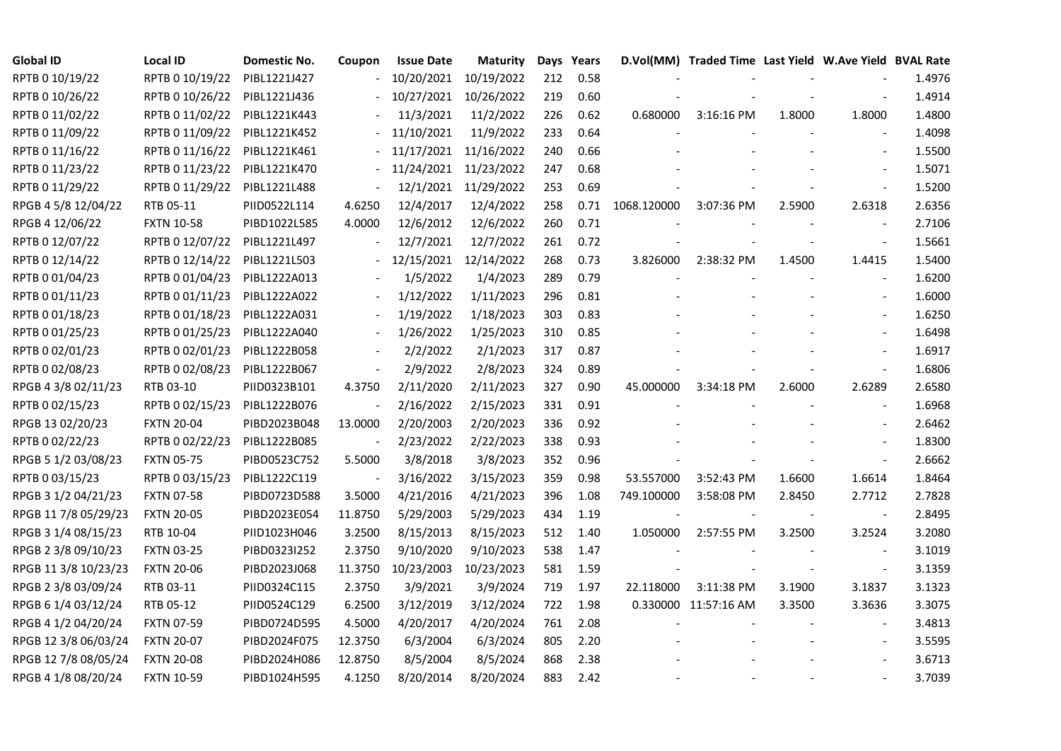| <b>Global ID</b>     | <b>Local ID</b>   | Domestic No. | Coupon                   | <b>Issue Date</b> | Maturity             |     | Days Years |             | D.Vol(MM) Traded Time Last Yield W.Ave Yield BVAL Rate |        |                          |        |
|----------------------|-------------------|--------------|--------------------------|-------------------|----------------------|-----|------------|-------------|--------------------------------------------------------|--------|--------------------------|--------|
| RPTB 0 10/19/22      | RPTB 0 10/19/22   | PIBL1221J427 |                          | 10/20/2021        | 10/19/2022           | 212 | 0.58       |             |                                                        |        |                          | 1.4976 |
| RPTB 0 10/26/22      | RPTB 0 10/26/22   | PIBL1221J436 |                          | 10/27/2021        | 10/26/2022           | 219 | 0.60       |             |                                                        |        |                          | 1.4914 |
| RPTB 0 11/02/22      | RPTB 0 11/02/22   | PIBL1221K443 |                          | 11/3/2021         | 11/2/2022            | 226 | 0.62       | 0.680000    | 3:16:16 PM                                             | 1.8000 | 1.8000                   | 1.4800 |
| RPTB 0 11/09/22      | RPTB 0 11/09/22   | PIBL1221K452 |                          | 11/10/2021        | 11/9/2022            | 233 | 0.64       |             |                                                        |        |                          | 1.4098 |
| RPTB 0 11/16/22      | RPTB 0 11/16/22   | PIBL1221K461 |                          | 11/17/2021        | 11/16/2022           | 240 | 0.66       |             |                                                        |        |                          | 1.5500 |
| RPTB 0 11/23/22      | RPTB 0 11/23/22   | PIBL1221K470 |                          | 11/24/2021        | 11/23/2022           | 247 | 0.68       |             |                                                        |        | $\blacksquare$           | 1.5071 |
| RPTB 0 11/29/22      | RPTB 0 11/29/22   | PIBL1221L488 | $\blacksquare$           |                   | 12/1/2021 11/29/2022 | 253 | 0.69       |             |                                                        |        | $\Box$                   | 1.5200 |
| RPGB 4 5/8 12/04/22  | RTB 05-11         | PIID0522L114 | 4.6250                   | 12/4/2017         | 12/4/2022            | 258 | 0.71       | 1068.120000 | 3:07:36 PM                                             | 2.5900 | 2.6318                   | 2.6356 |
| RPGB 4 12/06/22      | <b>FXTN 10-58</b> | PIBD1022L585 | 4.0000                   | 12/6/2012         | 12/6/2022            | 260 | 0.71       |             |                                                        |        |                          | 2.7106 |
| RPTB 0 12/07/22      | RPTB 0 12/07/22   | PIBL1221L497 |                          | 12/7/2021         | 12/7/2022            | 261 | 0.72       |             |                                                        |        | $\blacksquare$           | 1.5661 |
| RPTB 0 12/14/22      | RPTB 0 12/14/22   | PIBL1221L503 |                          | 12/15/2021        | 12/14/2022           | 268 | 0.73       | 3.826000    | 2:38:32 PM                                             | 1.4500 | 1.4415                   | 1.5400 |
| RPTB 0 01/04/23      | RPTB 0 01/04/23   | PIBL1222A013 |                          | 1/5/2022          | 1/4/2023             | 289 | 0.79       |             |                                                        |        | $\sim$                   | 1.6200 |
| RPTB 0 01/11/23      | RPTB 0 01/11/23   | PIBL1222A022 |                          | 1/12/2022         | 1/11/2023            | 296 | 0.81       |             |                                                        |        | $\overline{\phantom{a}}$ | 1.6000 |
| RPTB 0 01/18/23      | RPTB 0 01/18/23   | PIBL1222A031 |                          | 1/19/2022         | 1/18/2023            | 303 | 0.83       |             |                                                        |        | $\blacksquare$           | 1.6250 |
| RPTB 0 01/25/23      | RPTB 0 01/25/23   | PIBL1222A040 |                          | 1/26/2022         | 1/25/2023            | 310 | 0.85       |             |                                                        |        | $\overline{\phantom{a}}$ | 1.6498 |
| RPTB 0 02/01/23      | RPTB 0 02/01/23   | PIBL1222B058 |                          | 2/2/2022          | 2/1/2023             | 317 | 0.87       |             |                                                        |        |                          | 1.6917 |
| RPTB 0 02/08/23      | RPTB 0 02/08/23   | PIBL1222B067 | $\overline{\phantom{a}}$ | 2/9/2022          | 2/8/2023             | 324 | 0.89       |             |                                                        |        | $\overline{\phantom{a}}$ | 1.6806 |
| RPGB 4 3/8 02/11/23  | RTB 03-10         | PIID0323B101 | 4.3750                   | 2/11/2020         | 2/11/2023            | 327 | 0.90       | 45.000000   | 3:34:18 PM                                             | 2.6000 | 2.6289                   | 2.6580 |
| RPTB 0 02/15/23      | RPTB 0 02/15/23   | PIBL1222B076 | $\overline{\phantom{a}}$ | 2/16/2022         | 2/15/2023            | 331 | 0.91       |             |                                                        |        |                          | 1.6968 |
| RPGB 13 02/20/23     | <b>FXTN 20-04</b> | PIBD2023B048 | 13.0000                  | 2/20/2003         | 2/20/2023            | 336 | 0.92       |             |                                                        |        | $\blacksquare$           | 2.6462 |
| RPTB 0 02/22/23      | RPTB 0 02/22/23   | PIBL1222B085 | $\blacksquare$           | 2/23/2022         | 2/22/2023            | 338 | 0.93       |             |                                                        |        | $\blacksquare$           | 1.8300 |
| RPGB 5 1/2 03/08/23  | <b>FXTN 05-75</b> | PIBD0523C752 | 5.5000                   | 3/8/2018          | 3/8/2023             | 352 | 0.96       |             |                                                        |        | $\blacksquare$           | 2.6662 |
| RPTB 0 03/15/23      | RPTB 0 03/15/23   | PIBL1222C119 |                          | 3/16/2022         | 3/15/2023            | 359 | 0.98       | 53.557000   | 3:52:43 PM                                             | 1.6600 | 1.6614                   | 1.8464 |
| RPGB 3 1/2 04/21/23  | <b>FXTN 07-58</b> | PIBD0723D588 | 3.5000                   | 4/21/2016         | 4/21/2023            | 396 | 1.08       | 749.100000  | 3:58:08 PM                                             | 2.8450 | 2.7712                   | 2.7828 |
| RPGB 11 7/8 05/29/23 | <b>FXTN 20-05</b> | PIBD2023E054 | 11.8750                  | 5/29/2003         | 5/29/2023            | 434 | 1.19       |             |                                                        |        | $\blacksquare$           | 2.8495 |
| RPGB 3 1/4 08/15/23  | RTB 10-04         | PIID1023H046 | 3.2500                   | 8/15/2013         | 8/15/2023            | 512 | 1.40       | 1.050000    | 2:57:55 PM                                             | 3.2500 | 3.2524                   | 3.2080 |
| RPGB 2 3/8 09/10/23  | <b>FXTN 03-25</b> | PIBD0323I252 | 2.3750                   | 9/10/2020         | 9/10/2023            | 538 | 1.47       |             |                                                        |        | $\blacksquare$           | 3.1019 |
| RPGB 11 3/8 10/23/23 | <b>FXTN 20-06</b> | PIBD2023J068 | 11.3750                  | 10/23/2003        | 10/23/2023           | 581 | 1.59       |             |                                                        |        | $\blacksquare$           | 3.1359 |
| RPGB 2 3/8 03/09/24  | RTB 03-11         | PIID0324C115 | 2.3750                   | 3/9/2021          | 3/9/2024             | 719 | 1.97       | 22.118000   | 3:11:38 PM                                             | 3.1900 | 3.1837                   | 3.1323 |
| RPGB 6 1/4 03/12/24  | RTB 05-12         | PIID0524C129 | 6.2500                   | 3/12/2019         | 3/12/2024            | 722 | 1.98       |             | 0.330000 11:57:16 AM                                   | 3.3500 | 3.3636                   | 3.3075 |
| RPGB 4 1/2 04/20/24  | <b>FXTN 07-59</b> | PIBD0724D595 | 4.5000                   | 4/20/2017         | 4/20/2024            | 761 | 2.08       |             |                                                        |        |                          | 3.4813 |
| RPGB 12 3/8 06/03/24 | <b>FXTN 20-07</b> | PIBD2024F075 | 12.3750                  | 6/3/2004          | 6/3/2024             | 805 | 2.20       |             |                                                        |        | $\overline{\phantom{a}}$ | 3.5595 |
| RPGB 12 7/8 08/05/24 | <b>FXTN 20-08</b> | PIBD2024H086 | 12.8750                  | 8/5/2004          | 8/5/2024             | 868 | 2.38       |             |                                                        |        |                          | 3.6713 |
| RPGB 4 1/8 08/20/24  | <b>FXTN 10-59</b> | PIBD1024H595 | 4.1250                   | 8/20/2014         | 8/20/2024            | 883 | 2.42       |             |                                                        |        | $\blacksquare$           | 3.7039 |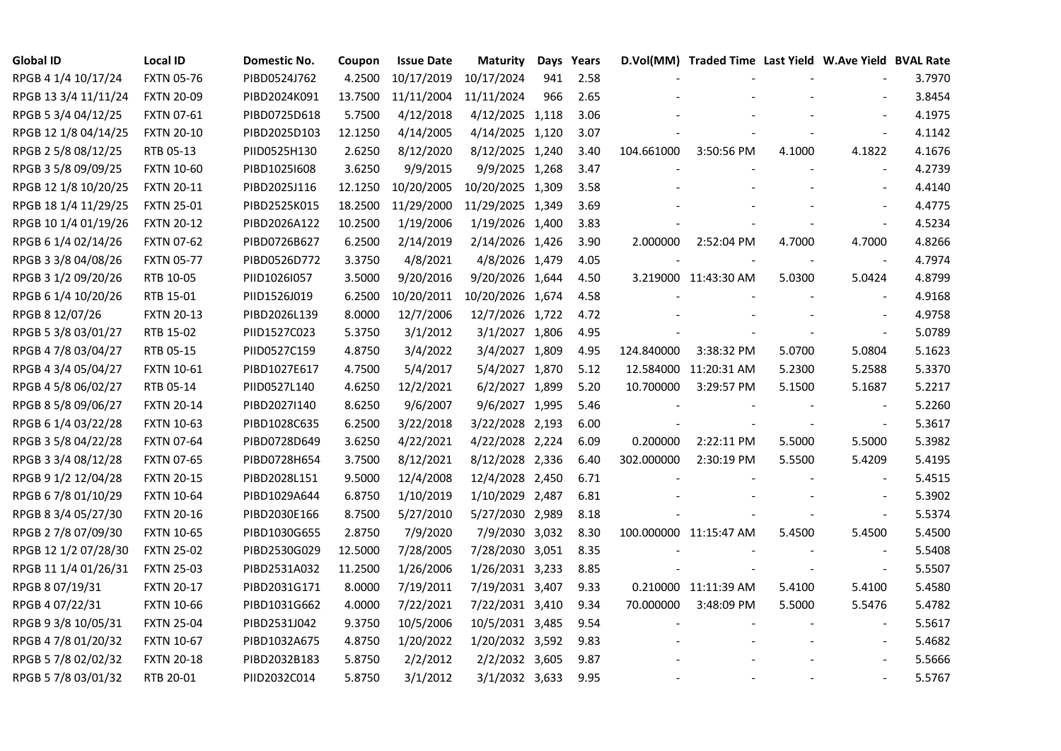| <b>Global ID</b>     | <b>Local ID</b>   | Domestic No. | Coupon  | <b>Issue Date</b> | <b>Maturity</b>  |     | Days Years |            | D.Vol(MM) Traded Time Last Yield W.Ave Yield BVAL Rate |        |                          |        |
|----------------------|-------------------|--------------|---------|-------------------|------------------|-----|------------|------------|--------------------------------------------------------|--------|--------------------------|--------|
| RPGB 4 1/4 10/17/24  | <b>FXTN 05-76</b> | PIBD0524J762 | 4.2500  | 10/17/2019        | 10/17/2024       | 941 | 2.58       |            |                                                        |        |                          | 3.7970 |
| RPGB 13 3/4 11/11/24 | <b>FXTN 20-09</b> | PIBD2024K091 | 13.7500 | 11/11/2004        | 11/11/2024       | 966 | 2.65       |            |                                                        |        |                          | 3.8454 |
| RPGB 5 3/4 04/12/25  | FXTN 07-61        | PIBD0725D618 | 5.7500  | 4/12/2018         | 4/12/2025 1,118  |     | 3.06       |            |                                                        |        | $\overline{a}$           | 4.1975 |
| RPGB 12 1/8 04/14/25 | <b>FXTN 20-10</b> | PIBD2025D103 | 12.1250 | 4/14/2005         | 4/14/2025 1,120  |     | 3.07       |            |                                                        |        | $\frac{1}{2}$            | 4.1142 |
| RPGB 2 5/8 08/12/25  | RTB 05-13         | PIID0525H130 | 2.6250  | 8/12/2020         | 8/12/2025 1,240  |     | 3.40       | 104.661000 | 3:50:56 PM                                             | 4.1000 | 4.1822                   | 4.1676 |
| RPGB 3 5/8 09/09/25  | <b>FXTN 10-60</b> | PIBD10251608 | 3.6250  | 9/9/2015          | 9/9/2025 1,268   |     | 3.47       |            |                                                        |        | $\blacksquare$           | 4.2739 |
| RPGB 12 1/8 10/20/25 | <b>FXTN 20-11</b> | PIBD2025J116 | 12.1250 | 10/20/2005        | 10/20/2025 1,309 |     | 3.58       |            |                                                        |        | $\blacksquare$           | 4.4140 |
| RPGB 18 1/4 11/29/25 | <b>FXTN 25-01</b> | PIBD2525K015 | 18.2500 | 11/29/2000        | 11/29/2025 1,349 |     | 3.69       |            |                                                        |        |                          | 4.4775 |
| RPGB 10 1/4 01/19/26 | <b>FXTN 20-12</b> | PIBD2026A122 | 10.2500 | 1/19/2006         | 1/19/2026 1,400  |     | 3.83       |            |                                                        |        |                          | 4.5234 |
| RPGB 6 1/4 02/14/26  | <b>FXTN 07-62</b> | PIBD0726B627 | 6.2500  | 2/14/2019         | 2/14/2026 1,426  |     | 3.90       | 2.000000   | 2:52:04 PM                                             | 4.7000 | 4.7000                   | 4.8266 |
| RPGB 3 3/8 04/08/26  | <b>FXTN 05-77</b> | PIBD0526D772 | 3.3750  | 4/8/2021          | 4/8/2026 1,479   |     | 4.05       |            |                                                        |        | $\blacksquare$           | 4.7974 |
| RPGB 3 1/2 09/20/26  | RTB 10-05         | PIID1026I057 | 3.5000  | 9/20/2016         | 9/20/2026 1,644  |     | 4.50       |            | 3.219000 11:43:30 AM                                   | 5.0300 | 5.0424                   | 4.8799 |
| RPGB 6 1/4 10/20/26  | RTB 15-01         | PIID1526J019 | 6.2500  | 10/20/2011        | 10/20/2026 1,674 |     | 4.58       |            |                                                        |        | $\blacksquare$           | 4.9168 |
| RPGB 8 12/07/26      | <b>FXTN 20-13</b> | PIBD2026L139 | 8.0000  | 12/7/2006         | 12/7/2026 1,722  |     | 4.72       |            |                                                        |        | $\sim$                   | 4.9758 |
| RPGB 5 3/8 03/01/27  | RTB 15-02         | PIID1527C023 | 5.3750  | 3/1/2012          | 3/1/2027 1,806   |     | 4.95       |            |                                                        |        | $\sim$                   | 5.0789 |
| RPGB 4 7/8 03/04/27  | RTB 05-15         | PIID0527C159 | 4.8750  | 3/4/2022          | 3/4/2027 1,809   |     | 4.95       | 124.840000 | 3:38:32 PM                                             | 5.0700 | 5.0804                   | 5.1623 |
| RPGB 4 3/4 05/04/27  | <b>FXTN 10-61</b> | PIBD1027E617 | 4.7500  | 5/4/2017          | 5/4/2027 1,870   |     | 5.12       |            | 12.584000 11:20:31 AM                                  | 5.2300 | 5.2588                   | 5.3370 |
| RPGB 4 5/8 06/02/27  | RTB 05-14         | PIID0527L140 | 4.6250  | 12/2/2021         | 6/2/2027 1,899   |     | 5.20       | 10.700000  | 3:29:57 PM                                             | 5.1500 | 5.1687                   | 5.2217 |
| RPGB 8 5/8 09/06/27  | <b>FXTN 20-14</b> | PIBD2027I140 | 8.6250  | 9/6/2007          | 9/6/2027 1,995   |     | 5.46       |            |                                                        |        | $\blacksquare$           | 5.2260 |
| RPGB 6 1/4 03/22/28  | <b>FXTN 10-63</b> | PIBD1028C635 | 6.2500  | 3/22/2018         | 3/22/2028 2,193  |     | 6.00       |            |                                                        |        | $\blacksquare$           | 5.3617 |
| RPGB 3 5/8 04/22/28  | <b>FXTN 07-64</b> | PIBD0728D649 | 3.6250  | 4/22/2021         | 4/22/2028 2,224  |     | 6.09       | 0.200000   | 2:22:11 PM                                             | 5.5000 | 5.5000                   | 5.3982 |
| RPGB 3 3/4 08/12/28  | <b>FXTN 07-65</b> | PIBD0728H654 | 3.7500  | 8/12/2021         | 8/12/2028 2,336  |     | 6.40       | 302.000000 | 2:30:19 PM                                             | 5.5500 | 5.4209                   | 5.4195 |
| RPGB 9 1/2 12/04/28  | <b>FXTN 20-15</b> | PIBD2028L151 | 9.5000  | 12/4/2008         | 12/4/2028 2,450  |     | 6.71       |            |                                                        |        |                          | 5.4515 |
| RPGB 67/8 01/10/29   | <b>FXTN 10-64</b> | PIBD1029A644 | 6.8750  | 1/10/2019         | 1/10/2029 2,487  |     | 6.81       |            |                                                        |        | $\sim$                   | 5.3902 |
| RPGB 8 3/4 05/27/30  | <b>FXTN 20-16</b> | PIBD2030E166 | 8.7500  | 5/27/2010         | 5/27/2030 2,989  |     | 8.18       |            |                                                        |        | $\overline{\phantom{a}}$ | 5.5374 |
| RPGB 2 7/8 07/09/30  | <b>FXTN 10-65</b> | PIBD1030G655 | 2.8750  | 7/9/2020          | 7/9/2030 3,032   |     | 8.30       |            | 100.000000 11:15:47 AM                                 | 5.4500 | 5.4500                   | 5.4500 |
| RPGB 12 1/2 07/28/30 | <b>FXTN 25-02</b> | PIBD2530G029 | 12.5000 | 7/28/2005         | 7/28/2030 3,051  |     | 8.35       |            |                                                        |        | $\blacksquare$           | 5.5408 |
| RPGB 11 1/4 01/26/31 | <b>FXTN 25-03</b> | PIBD2531A032 | 11.2500 | 1/26/2006         | 1/26/2031 3,233  |     | 8.85       |            |                                                        |        | $\blacksquare$           | 5.5507 |
| RPGB 8 07/19/31      | <b>FXTN 20-17</b> | PIBD2031G171 | 8.0000  | 7/19/2011         | 7/19/2031 3,407  |     | 9.33       |            | 0.210000 11:11:39 AM                                   | 5.4100 | 5.4100                   | 5.4580 |
| RPGB 4 07/22/31      | <b>FXTN 10-66</b> | PIBD1031G662 | 4.0000  | 7/22/2021         | 7/22/2031 3,410  |     | 9.34       | 70.000000  | 3:48:09 PM                                             | 5.5000 | 5.5476                   | 5.4782 |
| RPGB 9 3/8 10/05/31  | <b>FXTN 25-04</b> | PIBD2531J042 | 9.3750  | 10/5/2006         | 10/5/2031 3,485  |     | 9.54       |            |                                                        |        | $\sim$                   | 5.5617 |
| RPGB 4 7/8 01/20/32  | <b>FXTN 10-67</b> | PIBD1032A675 | 4.8750  | 1/20/2022         | 1/20/2032 3,592  |     | 9.83       |            |                                                        |        | $\overline{\phantom{a}}$ | 5.4682 |
| RPGB 5 7/8 02/02/32  | <b>FXTN 20-18</b> | PIBD2032B183 | 5.8750  | 2/2/2012          | 2/2/2032 3,605   |     | 9.87       |            |                                                        |        |                          | 5.5666 |
| RPGB 5 7/8 03/01/32  | RTB 20-01         | PIID2032C014 | 5.8750  | 3/1/2012          | 3/1/2032 3,633   |     | 9.95       |            |                                                        |        | $\blacksquare$           | 5.5767 |